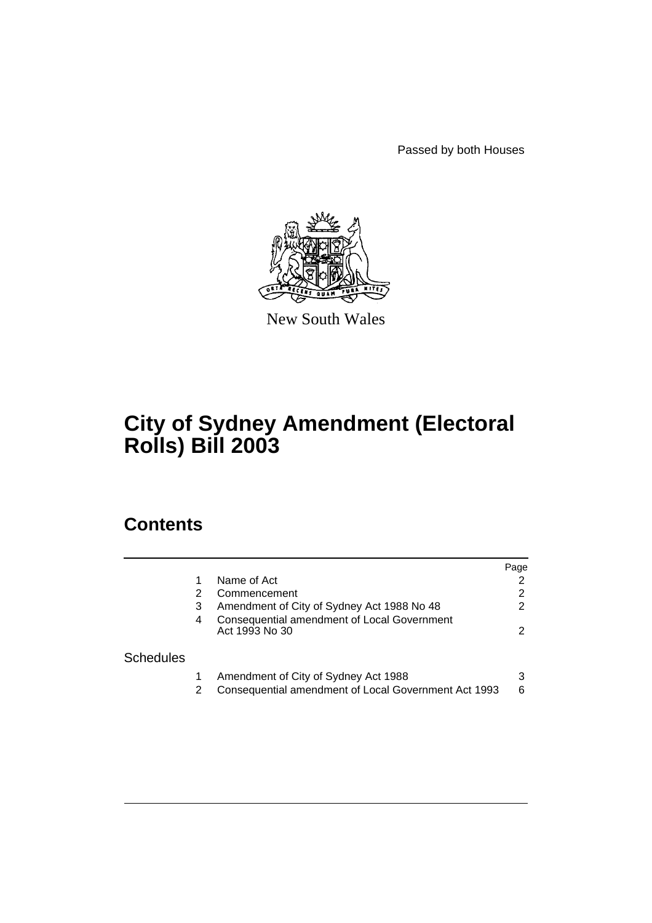Passed by both Houses



New South Wales

# **City of Sydney Amendment (Electoral Rolls) Bill 2003**

# **Contents**

|                  |   |                                                                                              | Page   |
|------------------|---|----------------------------------------------------------------------------------------------|--------|
|                  |   | Name of Act                                                                                  |        |
|                  |   | Commencement                                                                                 | 2      |
|                  | 3 | Amendment of City of Sydney Act 1988 No 48                                                   | 2      |
|                  | 4 | Consequential amendment of Local Government<br>Act 1993 No 30                                | 2      |
| <b>Schedules</b> |   |                                                                                              |        |
|                  | 2 | Amendment of City of Sydney Act 1988<br>Consequential amendment of Local Government Act 1993 | 3<br>6 |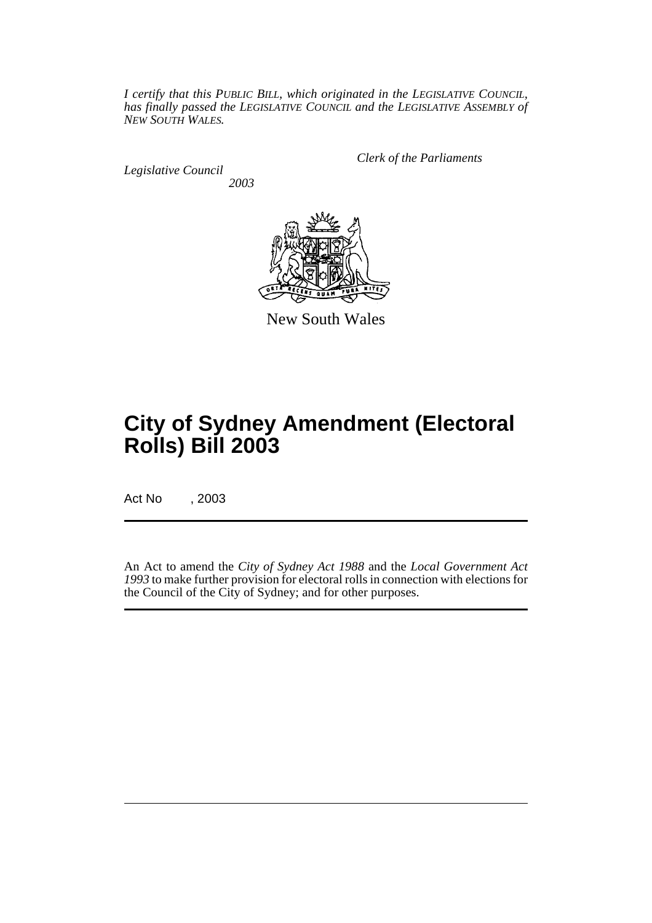*I certify that this PUBLIC BILL, which originated in the LEGISLATIVE COUNCIL, has finally passed the LEGISLATIVE COUNCIL and the LEGISLATIVE ASSEMBLY of NEW SOUTH WALES.*

*Legislative Council 2003* *Clerk of the Parliaments*



New South Wales

# **City of Sydney Amendment (Electoral Rolls) Bill 2003**

Act No , 2003

An Act to amend the *City of Sydney Act 1988* and the *Local Government Act 1993* to make further provision for electoral rolls in connection with elections for the Council of the City of Sydney; and for other purposes.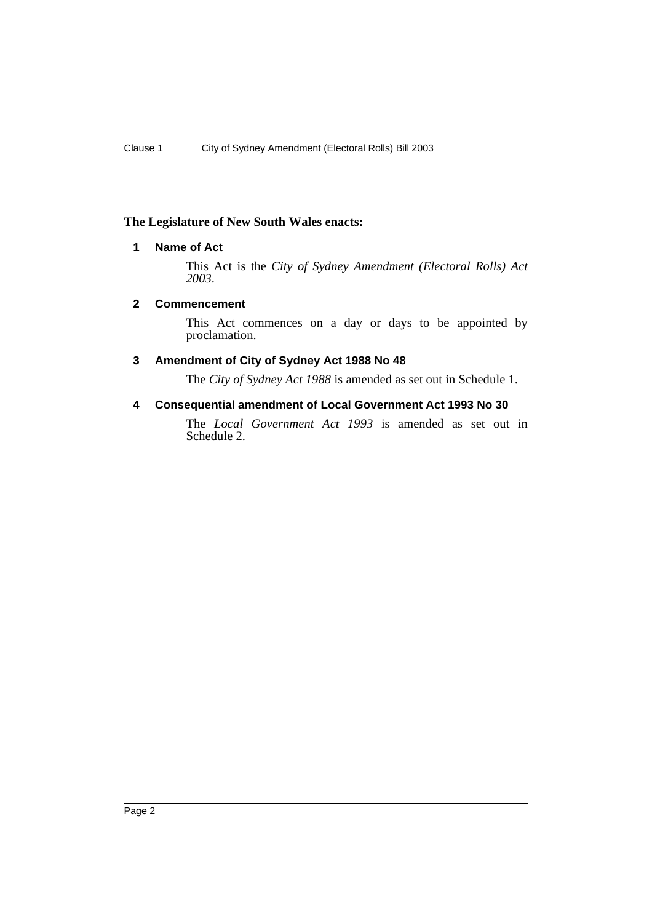# <span id="page-2-0"></span>**The Legislature of New South Wales enacts:**

# **1 Name of Act**

This Act is the *City of Sydney Amendment (Electoral Rolls) Act 2003*.

#### <span id="page-2-1"></span>**2 Commencement**

This Act commences on a day or days to be appointed by proclamation.

## <span id="page-2-2"></span>**3 Amendment of City of Sydney Act 1988 No 48**

The *City of Sydney Act 1988* is amended as set out in Schedule 1.

## <span id="page-2-3"></span>**4 Consequential amendment of Local Government Act 1993 No 30**

The *Local Government Act 1993* is amended as set out in Schedule 2.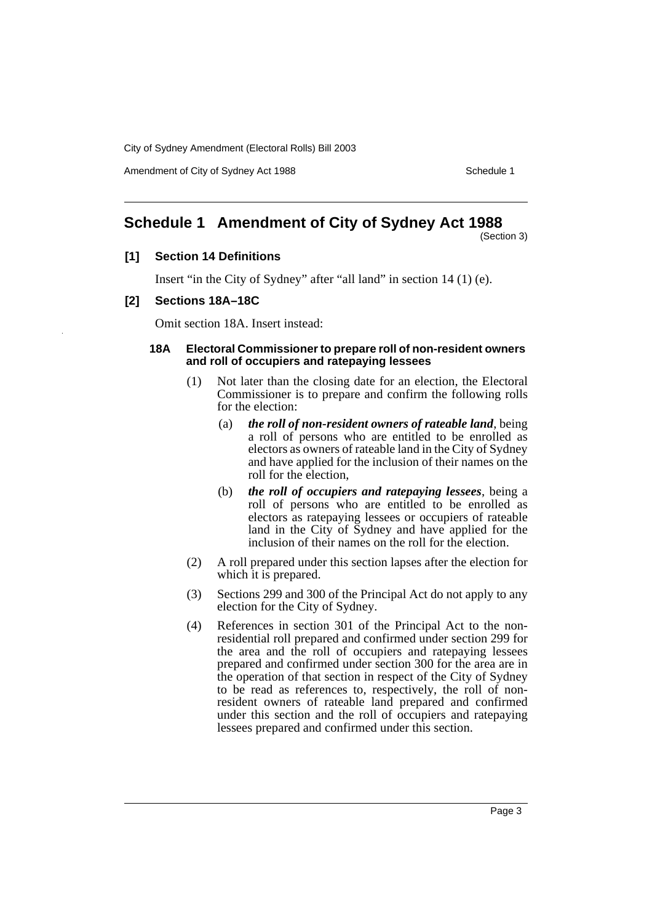Amendment of City of Sydney Act 1988 Schedule 1

# <span id="page-3-0"></span>**Schedule 1 Amendment of City of Sydney Act 1988**

(Section 3)

#### **[1] Section 14 Definitions**

Insert "in the City of Sydney" after "all land" in section 14 (1) (e).

#### **[2] Sections 18A–18C**

Omit section 18A. Insert instead:

#### **18A Electoral Commissioner to prepare roll of non-resident owners and roll of occupiers and ratepaying lessees**

- (1) Not later than the closing date for an election, the Electoral Commissioner is to prepare and confirm the following rolls for the election:
	- (a) *the roll of non-resident owners of rateable land*, being a roll of persons who are entitled to be enrolled as electors as owners of rateable land in the City of Sydney and have applied for the inclusion of their names on the roll for the election,
	- (b) *the roll of occupiers and ratepaying lessees*, being a roll of persons who are entitled to be enrolled as electors as ratepaying lessees or occupiers of rateable land in the City of Sydney and have applied for the inclusion of their names on the roll for the election.
- (2) A roll prepared under this section lapses after the election for which it is prepared.
- (3) Sections 299 and 300 of the Principal Act do not apply to any election for the City of Sydney.
- (4) References in section 301 of the Principal Act to the nonresidential roll prepared and confirmed under section 299 for the area and the roll of occupiers and ratepaying lessees prepared and confirmed under section 300 for the area are in the operation of that section in respect of the City of Sydney to be read as references to, respectively, the roll of nonresident owners of rateable land prepared and confirmed under this section and the roll of occupiers and ratepaying lessees prepared and confirmed under this section.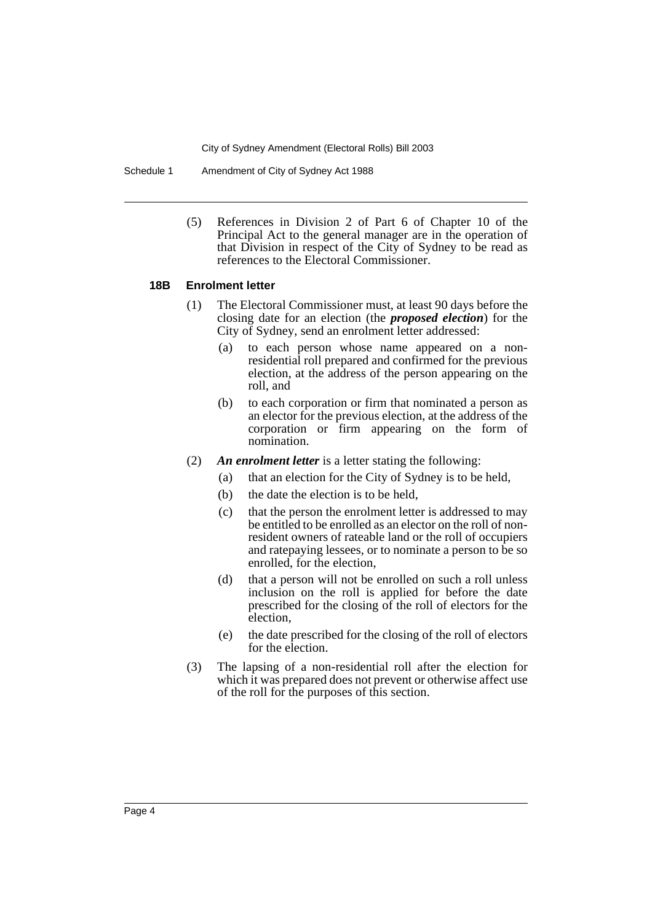Schedule 1 Amendment of City of Sydney Act 1988

(5) References in Division 2 of Part 6 of Chapter 10 of the Principal Act to the general manager are in the operation of that Division in respect of the City of Sydney to be read as references to the Electoral Commissioner.

#### **18B Enrolment letter**

- (1) The Electoral Commissioner must, at least 90 days before the closing date for an election (the *proposed election*) for the City of Sydney, send an enrolment letter addressed:
	- (a) to each person whose name appeared on a nonresidential roll prepared and confirmed for the previous election, at the address of the person appearing on the roll, and
	- (b) to each corporation or firm that nominated a person as an elector for the previous election, at the address of the corporation or firm appearing on the form of nomination.
- (2) *An enrolment letter* is a letter stating the following:
	- (a) that an election for the City of Sydney is to be held,
	- (b) the date the election is to be held,
	- (c) that the person the enrolment letter is addressed to may be entitled to be enrolled as an elector on the roll of nonresident owners of rateable land or the roll of occupiers and ratepaying lessees, or to nominate a person to be so enrolled, for the election,
	- (d) that a person will not be enrolled on such a roll unless inclusion on the roll is applied for before the date prescribed for the closing of the roll of electors for the election,
	- (e) the date prescribed for the closing of the roll of electors for the election.
- (3) The lapsing of a non-residential roll after the election for which it was prepared does not prevent or otherwise affect use of the roll for the purposes of this section.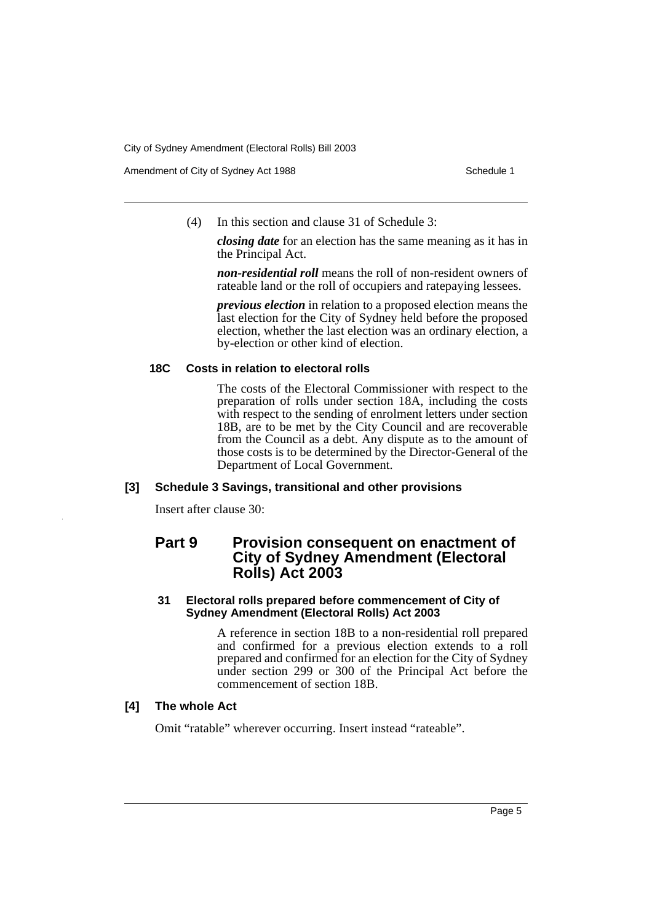Amendment of City of Sydney Act 1988 Schedule 1

(4) In this section and clause 31 of Schedule 3:

*closing date* for an election has the same meaning as it has in the Principal Act.

*non-residential roll* means the roll of non-resident owners of rateable land or the roll of occupiers and ratepaying lessees.

*previous election* in relation to a proposed election means the last election for the City of Sydney held before the proposed election, whether the last election was an ordinary election, a by-election or other kind of election.

## **18C Costs in relation to electoral rolls**

The costs of the Electoral Commissioner with respect to the preparation of rolls under section 18A, including the costs with respect to the sending of enrolment letters under section 18B, are to be met by the City Council and are recoverable from the Council as a debt. Any dispute as to the amount of those costs is to be determined by the Director-General of the Department of Local Government.

# **[3] Schedule 3 Savings, transitional and other provisions**

Insert after clause 30:

# **Part 9 Provision consequent on enactment of City of Sydney Amendment (Electoral Rolls) Act 2003**

## **31 Electoral rolls prepared before commencement of City of Sydney Amendment (Electoral Rolls) Act 2003**

A reference in section 18B to a non-residential roll prepared and confirmed for a previous election extends to a roll prepared and confirmed for an election for the City of Sydney under section 299 or 300 of the Principal Act before the commencement of section 18B.

# **[4] The whole Act**

Omit "ratable" wherever occurring. Insert instead "rateable".